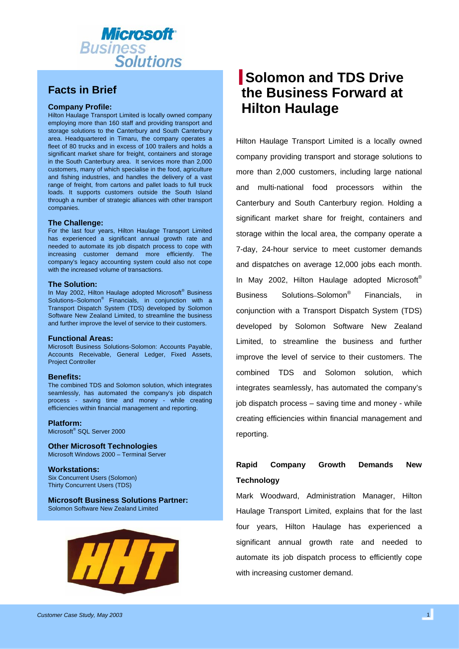

## **Facts in Brief**

### **Company Profile:**

Hilton Haulage Transport Limited is locally owned company employing more than 160 staff and providing transport and storage solutions to the Canterbury and South Canterbury area. Headquartered in Timaru, the company operates a fleet of 80 trucks and in excess of 100 trailers and holds a significant market share for freight, containers and storage in the South Canterbury area. It services more than 2,000 customers, many of which specialise in the food, agriculture and fishing industries, and handles the delivery of a vast range of freight, from cartons and pallet loads to full truck loads. It supports customers outside the South Island through a number of strategic alliances with other transport companies.

### **The Challenge:**

For the last four years, Hilton Haulage Transport Limited has experienced a significant annual growth rate and needed to automate its job dispatch process to cope with increasing customer demand more efficiently. The company's legacy accounting system could also not cope with the increased volume of transactions.

#### **The Solution:**

In May 2002, Hilton Haulage adopted Microsoft® Business Solutions–Solomon® Financials, in conjunction with a Transport Dispatch System (TDS) developed by Solomon Software New Zealand Limited, to streamline the business and further improve the level of service to their customers.

#### **Functional Areas:**

Microsoft Business Solutions-Solomon: Accounts Payable, Accounts Receivable, General Ledger, Fixed Assets, Project Controller

### **Benefits:**

The combined TDS and Solomon solution, which integrates seamlessly, has automated the company's job dispatch process - saving time and money - while creating efficiencies within financial management and reporting.

**Platform:** 

Microsoft® SQL Server 2000

**Other Microsoft Technologies**  Microsoft Windows 2000 – Terminal Server

**Workstations:**  Six Concurrent Users (Solomon) Thirty Concurrent Users (TDS)

**Microsoft Business Solutions Partner:** Solomon Software New Zealand Limited



# **Solomon and TDS Drive the Business Forward at Hilton Haulage**

Hilton Haulage Transport Limited is a locally owned company providing transport and storage solutions to more than 2,000 customers, including large national and multi-national food processors within the Canterbury and South Canterbury region. Holding a significant market share for freight, containers and storage within the local area, the company operate a 7-day, 24-hour service to meet customer demands and dispatches on average 12,000 jobs each month. In May 2002, Hilton Haulage adopted Microsoft® Business Solutions–Solomon® Financials, in conjunction with a Transport Dispatch System (TDS) developed by Solomon Software New Zealand Limited, to streamline the business and further improve the level of service to their customers. The combined TDS and Solomon solution, which integrates seamlessly, has automated the company's job dispatch process – saving time and money - while creating efficiencies within financial management and reporting.

## **Rapid Company Growth Demands New Technology**

Mark Woodward, Administration Manager, Hilton Haulage Transport Limited, explains that for the last four years, Hilton Haulage has experienced a significant annual growth rate and needed to automate its job dispatch process to efficiently cope with increasing customer demand.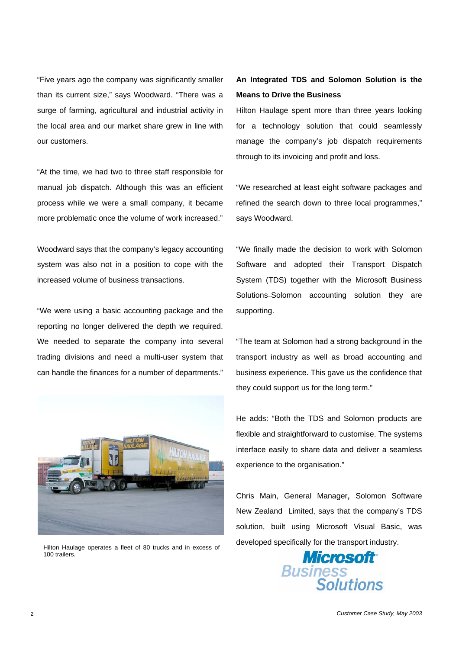"Five years ago the company was significantly smaller than its current size," says Woodward. "There was a surge of farming, agricultural and industrial activity in the local area and our market share grew in line with our customers.

"At the time, we had two to three staff responsible for manual job dispatch. Although this was an efficient process while we were a small company, it became more problematic once the volume of work increased."

Woodward says that the company's legacy accounting system was also not in a position to cope with the increased volume of business transactions.

"We were using a basic accounting package and the reporting no longer delivered the depth we required. We needed to separate the company into several trading divisions and need a multi-user system that can handle the finances for a number of departments."



100 trailers.

### **An Integrated TDS and Solomon Solution is the Means to Drive the Business**

Hilton Haulage spent more than three years looking for a technology solution that could seamlessly manage the company's job dispatch requirements through to its invoicing and profit and loss.

"We researched at least eight software packages and refined the search down to three local programmes," says Woodward.

"We finally made the decision to work with Solomon Software and adopted their Transport Dispatch System (TDS) together with the Microsoft Business Solutions–Solomon accounting solution they are supporting.

"The team at Solomon had a strong background in the transport industry as well as broad accounting and business experience. This gave us the confidence that they could support us for the long term."

He adds: "Both the TDS and Solomon products are flexible and straightforward to customise. The systems interface easily to share data and deliver a seamless experience to the organisation."

Chris Main, General Manager, Solomon Software New Zealand Limited, says that the company's TDS solution, built using Microsoft Visual Basic, was developed specifically for the transport industry. Hilton Haulage operates a fleet of 80 trucks and in excess of

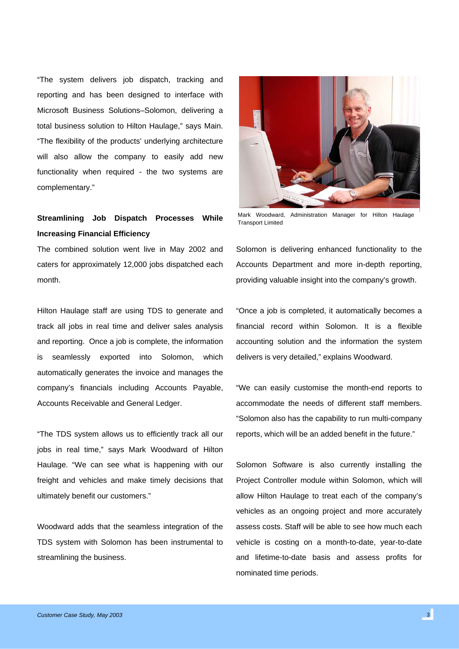"The system delivers job dispatch, tracking and reporting and has been designed to interface with Microsoft Business Solutions–Solomon, delivering a total business solution to Hilton Haulage," says Main. "The flexibility of the products' underlying architecture will also allow the company to easily add new functionality when required - the two systems are complementary."

## **Streamlining Job Dispatch Processes While Increasing Financial Efficiency**

The combined solution went live in May 2002 and caters for approximately 12,000 jobs dispatched each month.

Hilton Haulage staff are using TDS to generate and track all jobs in real time and deliver sales analysis and reporting. Once a job is complete, the information is seamlessly exported into Solomon, which automatically generates the invoice and manages the company's financials including Accounts Payable, Accounts Receivable and General Ledger.

"The TDS system allows us to efficiently track all our jobs in real time," says Mark Woodward of Hilton Haulage. "We can see what is happening with our freight and vehicles and make timely decisions that ultimately benefit our customers."

Woodward adds that the seamless integration of the TDS system with Solomon has been instrumental to streamlining the business.



Mark Woodward, Administration Manager for Hilton Haulage Transport Limited

Solomon is delivering enhanced functionality to the Accounts Department and more in-depth reporting, providing valuable insight into the company's growth.

"Once a job is completed, it automatically becomes a financial record within Solomon. It is a flexible accounting solution and the information the system delivers is very detailed," explains Woodward.

"We can easily customise the month-end reports to accommodate the needs of different staff members. "Solomon also has the capability to run multi-company reports, which will be an added benefit in the future."

Solomon Software is also currently installing the Project Controller module within Solomon, which will allow Hilton Haulage to treat each of the company's vehicles as an ongoing project and more accurately assess costs. Staff will be able to see how much each vehicle is costing on a month-to-date, year-to-date and lifetime-to-date basis and assess profits for nominated time periods.